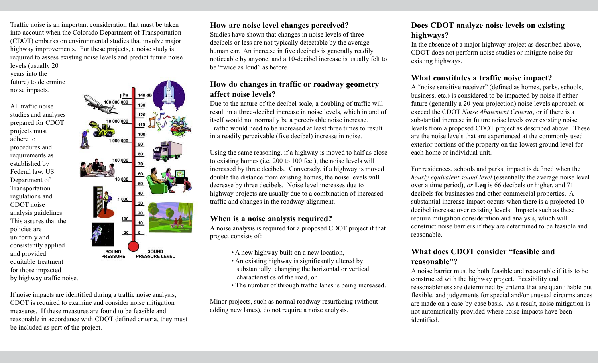Traffic noise is an important consideration that must be taken into account when the Colorado Department of Transportation (CDOT) embarks on environmental studies that involve major highway improvements. For these projects, a noise study is required to assess existing noise levels and predict future noise levels (usually 20

years into the future) to determine noise impacts.

All traffic noise studies and analyses prepared for CDOT projects must adhere to procedures and requirements as established by Federal law, US Department of Transportation regulations and CDOT noise analysis guidelines. This assures that the policies are uniformly and consistently applied and provided equitable treatment for those impacted by highway traffic noise.



If noise impacts are identified during a traffic noise analysis, CDOT is required to examine and consider noise mitigation measures. If these measures are found to be feasible and reasonable in accordance with CDOT defined criteria, they must be included as part of the project.

## **How are noise level changes perceived?**

Studies have shown that changes in noise levels of three decibels or less are not typically detectable by the average human ear. An increase in five decibels is generally readily noticeable by anyone, and a 10-decibel increase is usually felt to be "twice as loud" as before.

## **How do changes in traffic or roadway geometry affect noise levels?**

Due to the nature of the decibel scale, a doubling of traffic will result in a three-decibel increase in noise levels, which in and of itself would not normally be a perceivable noise increase. Traffic would need to be increased at least three times to result in a readily perceivable (five decibel) increase in noise.

Using the same reasoning, if a highway is moved to half as close to existing homes (i.e. 200 to 100 feet), the noise levels will increased by three decibels. Conversely, if a highway is moved double the distance from existing homes, the noise levels will decrease by three decibels. Noise level increases due to highway projects are usually due to a combination of increased traffic and changes in the roadway alignment.

## **When is a noise analysis required?**

A noise analysis is required for a proposed CDOT project if that project consists of:

- A new highway built on a new location,
- An existing highway is significantly altered by substantially changing the horizontal or vertical characteristics of the road, or
- The number of through traffic lanes is being increased.

Minor projects, such as normal roadway resurfacing (without adding new lanes), do not require a noise analysis.

## **Does CDOT analyze noise levels on existing highways?**

In the absence of a major highway project as described above, CDOT does not perform noise studies or mitigate noise for existing highways.

## **What constitutes a traffic noise impact?**

A "noise sensitive receiver" (defined as homes, parks, schools, business, etc.) is considered to be impacted by noise if either future (generally a 20-year projection) noise levels approach or exceed the CDOT *Noise Abatement Criteria*, or if there is a substantial increase in future noise levels over existing noise levels from a proposed CDOT project as described above. These are the noise levels that are experienced at the commonly used exterior portions of the property on the lowest ground level for each home or individual unit.

For residences, schools and parks, impact is defined when the *hourly equivalent sound level* (essentially the average noise level over a time period), *or* **Leq** is 66 decibels or higher, and 71 decibels for businesses and other commercial properties. A substantial increase impact occurs when there is a projected 10 decibel increase over existing levels. Impacts such as these require mitigation consideration and analysis, which will construct noise barriers if they are determined to be feasible and reasonable.

## **What does CDOT consider "feasible and reasonable"?**

A noise barrier must be both feasible and reasonable if it is to be constructed with the highway project. Feasibility and reasonableness are determined by criteria that are quantifiable but flexible, and judgements for special and/or unusual circumstances are made on a case-by-case basis. As a result, noise mitigation is not automatically provided where noise impacts have been identified.